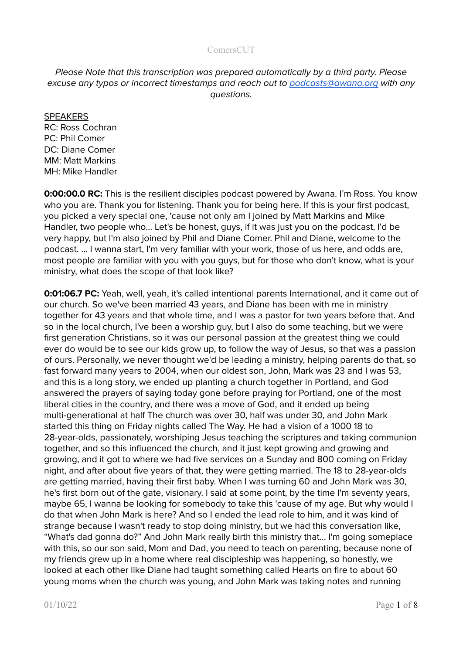# Please Note that this transcription was prepared automatically by a third party. Please excuse any typos or incorrect timestamps and reach out to [podcasts@awana.org](mailto:podcasts@awana.org) with any questions.

#### SPEAKERS

RC: Ross Cochran PC: Phil Comer DC: Diane Comer MM: Matt Markins MH: Mike Handler

**0:00:00.0 RC:** This is the resilient disciples podcast powered by Awana. I'm Ross. You know who you are. Thank you for listening. Thank you for being here. If this is your first podcast, you picked a very special one, 'cause not only am I joined by Matt Markins and Mike Handler, two people who... Let's be honest, guys, if it was just you on the podcast, I'd be very happy, but I'm also joined by Phil and Diane Comer. Phil and Diane, welcome to the podcast. … I wanna start, I'm very familiar with your work, those of us here, and odds are, most people are familiar with you with you guys, but for those who don't know, what is your ministry, what does the scope of that look like?

**0:01:06.7 PC:** Yeah, well, yeah, it's called intentional parents International, and it came out of our church. So we've been married 43 years, and Diane has been with me in ministry together for 43 years and that whole time, and I was a pastor for two years before that. And so in the local church, I've been a worship guy, but I also do some teaching, but we were first generation Christians, so it was our personal passion at the greatest thing we could ever do would be to see our kids grow up, to follow the way of Jesus, so that was a passion of ours. Personally, we never thought we'd be leading a ministry, helping parents do that, so fast forward many years to 2004, when our oldest son, John, Mark was 23 and I was 53, and this is a long story, we ended up planting a church together in Portland, and God answered the prayers of saying today gone before praying for Portland, one of the most liberal cities in the country, and there was a move of God, and it ended up being multi-generational at half The church was over 30, half was under 30, and John Mark started this thing on Friday nights called The Way. He had a vision of a 1000 18 to 28-year-olds, passionately, worshiping Jesus teaching the scriptures and taking communion together, and so this influenced the church, and it just kept growing and growing and growing, and it got to where we had five services on a Sunday and 800 coming on Friday night, and after about five years of that, they were getting married. The 18 to 28-year-olds are getting married, having their first baby. When I was turning 60 and John Mark was 30, he's first born out of the gate, visionary. I said at some point, by the time I'm seventy years, maybe 65, I wanna be looking for somebody to take this 'cause of my age. But why would I do that when John Mark is here? And so I ended the lead role to him, and it was kind of strange because I wasn't ready to stop doing ministry, but we had this conversation like, "What's dad gonna do?" And John Mark really birth this ministry that… I'm going someplace with this, so our son said, Mom and Dad, you need to teach on parenting, because none of my friends grew up in a home where real discipleship was happening, so honestly, we looked at each other like Diane had taught something called Hearts on fire to about 60 young moms when the church was young, and John Mark was taking notes and running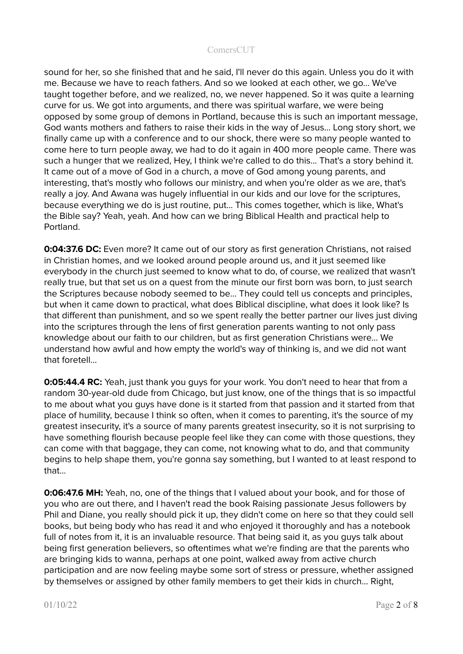sound for her, so she finished that and he said, I'll never do this again. Unless you do it with me. Because we have to reach fathers. And so we looked at each other, we go... We've taught together before, and we realized, no, we never happened. So it was quite a learning curve for us. We got into arguments, and there was spiritual warfare, we were being opposed by some group of demons in Portland, because this is such an important message, God wants mothers and fathers to raise their kids in the way of Jesus… Long story short, we finally came up with a conference and to our shock, there were so many people wanted to come here to turn people away, we had to do it again in 400 more people came. There was such a hunger that we realized, Hey, I think we're called to do this... That's a story behind it. It came out of a move of God in a church, a move of God among young parents, and interesting, that's mostly who follows our ministry, and when you're older as we are, that's really a joy. And Awana was hugely influential in our kids and our love for the scriptures, because everything we do is just routine, put... This comes together, which is like, What's the Bible say? Yeah, yeah. And how can we bring Biblical Health and practical help to Portland.

**0:04:37.6 DC:** Even more? It came out of our story as first generation Christians, not raised in Christian homes, and we looked around people around us, and it just seemed like everybody in the church just seemed to know what to do, of course, we realized that wasn't really true, but that set us on a quest from the minute our first born was born, to just search the Scriptures because nobody seemed to be... They could tell us concepts and principles, but when it came down to practical, what does Biblical discipline, what does it look like? Is that different than punishment, and so we spent really the better partner our lives just diving into the scriptures through the lens of first generation parents wanting to not only pass knowledge about our faith to our children, but as first generation Christians were... We understand how awful and how empty the world's way of thinking is, and we did not want that foretell...

**0:05:44.4 RC:** Yeah, just thank you guys for your work. You don't need to hear that from a random 30-year-old dude from Chicago, but just know, one of the things that is so impactful to me about what you guys have done is it started from that passion and it started from that place of humility, because I think so often, when it comes to parenting, it's the source of my greatest insecurity, it's a source of many parents greatest insecurity, so it is not surprising to have something flourish because people feel like they can come with those questions, they can come with that baggage, they can come, not knowing what to do, and that community begins to help shape them, you're gonna say something, but I wanted to at least respond to that...

**0:06:47.6 MH:** Yeah, no, one of the things that I valued about your book, and for those of you who are out there, and I haven't read the book Raising passionate Jesus followers by Phil and Diane, you really should pick it up, they didn't come on here so that they could sell books, but being body who has read it and who enjoyed it thoroughly and has a notebook full of notes from it, it is an invaluable resource. That being said it, as you guys talk about being first generation believers, so oftentimes what we're finding are that the parents who are bringing kids to wanna, perhaps at one point, walked away from active church participation and are now feeling maybe some sort of stress or pressure, whether assigned by themselves or assigned by other family members to get their kids in church... Right,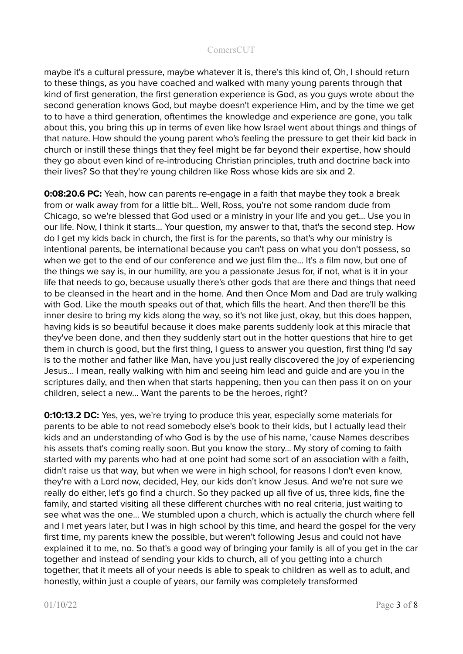maybe it's a cultural pressure, maybe whatever it is, there's this kind of, Oh, I should return to these things, as you have coached and walked with many young parents through that kind of first generation, the first generation experience is God, as you guys wrote about the second generation knows God, but maybe doesn't experience Him, and by the time we get to to have a third generation, oftentimes the knowledge and experience are gone, you talk about this, you bring this up in terms of even like how Israel went about things and things of that nature. How should the young parent who's feeling the pressure to get their kid back in church or instill these things that they feel might be far beyond their expertise, how should they go about even kind of re-introducing Christian principles, truth and doctrine back into their lives? So that they're young children like Ross whose kids are six and 2.

**0:08:20.6 PC:** Yeah, how can parents re-engage in a faith that maybe they took a break from or walk away from for a little bit... Well, Ross, you're not some random dude from Chicago, so we're blessed that God used or a ministry in your life and you get... Use you in our life. Now, I think it starts... Your question, my answer to that, that's the second step. How do I get my kids back in church, the first is for the parents, so that's why our ministry is intentional parents, be international because you can't pass on what you don't possess, so when we get to the end of our conference and we just film the... It's a film now, but one of the things we say is, in our humility, are you a passionate Jesus for, if not, what is it in your life that needs to go, because usually there's other gods that are there and things that need to be cleansed in the heart and in the home. And then Once Mom and Dad are truly walking with God. Like the mouth speaks out of that, which fills the heart. And then there'll be this inner desire to bring my kids along the way, so it's not like just, okay, but this does happen, having kids is so beautiful because it does make parents suddenly look at this miracle that they've been done, and then they suddenly start out in the hotter questions that hire to get them in church is good, but the first thing, I guess to answer you question, first thing I'd say is to the mother and father like Man, have you just really discovered the joy of experiencing Jesus… I mean, really walking with him and seeing him lead and guide and are you in the scriptures daily, and then when that starts happening, then you can then pass it on on your children, select a new... Want the parents to be the heroes, right?

**0:10:13.2 DC:** Yes, yes, we're trying to produce this year, especially some materials for parents to be able to not read somebody else's book to their kids, but I actually lead their kids and an understanding of who God is by the use of his name, 'cause Names describes his assets that's coming really soon. But you know the story... My story of coming to faith started with my parents who had at one point had some sort of an association with a faith, didn't raise us that way, but when we were in high school, for reasons I don't even know, they're with a Lord now, decided, Hey, our kids don't know Jesus. And we're not sure we really do either, let's go find a church. So they packed up all five of us, three kids, fine the family, and started visiting all these different churches with no real criteria, just waiting to see what was the one... We stumbled upon a church, which is actually the church where fell and I met years later, but I was in high school by this time, and heard the gospel for the very first time, my parents knew the possible, but weren't following Jesus and could not have explained it to me, no. So that's a good way of bringing your family is all of you get in the car together and instead of sending your kids to church, all of you getting into a church together, that it meets all of your needs is able to speak to children as well as to adult, and honestly, within just a couple of years, our family was completely transformed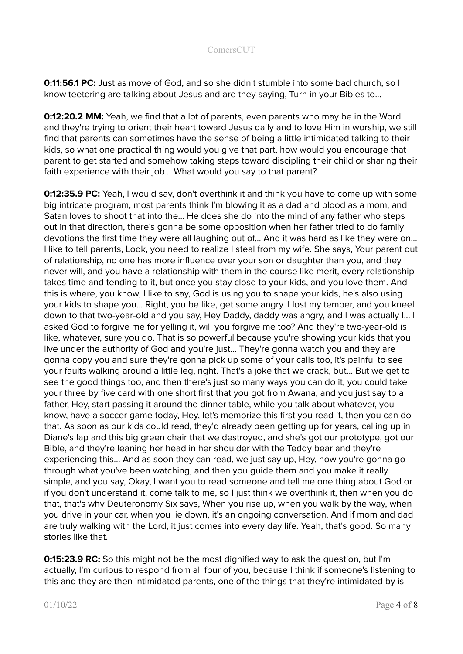**0:11:56.1 PC:** Just as move of God, and so she didn't stumble into some bad church, so I know teetering are talking about Jesus and are they saying, Turn in your Bibles to...

**0:12:20.2 MM:** Yeah, we find that a lot of parents, even parents who may be in the Word and they're trying to orient their heart toward Jesus daily and to love Him in worship, we still find that parents can sometimes have the sense of being a little intimidated talking to their kids, so what one practical thing would you give that part, how would you encourage that parent to get started and somehow taking steps toward discipling their child or sharing their faith experience with their job... What would you say to that parent?

**0:12:35.9 PC:** Yeah, I would say, don't overthink it and think you have to come up with some big intricate program, most parents think I'm blowing it as a dad and blood as a mom, and Satan loves to shoot that into the... He does she do into the mind of any father who steps out in that direction, there's gonna be some opposition when her father tried to do family devotions the first time they were all laughing out of… And it was hard as like they were on... I like to tell parents, Look, you need to realize I steal from my wife. She says, Your parent out of relationship, no one has more influence over your son or daughter than you, and they never will, and you have a relationship with them in the course like merit, every relationship takes time and tending to it, but once you stay close to your kids, and you love them. And this is where, you know, I like to say, God is using you to shape your kids, he's also using your kids to shape you... Right, you be like, get some angry. I lost my temper, and you kneel down to that two-year-old and you say, Hey Daddy, daddy was angry, and I was actually I... I asked God to forgive me for yelling it, will you forgive me too? And they're two-year-old is like, whatever, sure you do. That is so powerful because you're showing your kids that you live under the authority of God and you're just... They're gonna watch you and they are gonna copy you and sure they're gonna pick up some of your calls too, it's painful to see your faults walking around a little leg, right. That's a joke that we crack, but... But we get to see the good things too, and then there's just so many ways you can do it, you could take your three by five card with one short first that you got from Awana, and you just say to a father, Hey, start passing it around the dinner table, while you talk about whatever, you know, have a soccer game today, Hey, let's memorize this first you read it, then you can do that. As soon as our kids could read, they'd already been getting up for years, calling up in Diane's lap and this big green chair that we destroyed, and she's got our prototype, got our Bible, and they're leaning her head in her shoulder with the Teddy bear and they're experiencing this... And as soon they can read, we just say up, Hey, now you're gonna go through what you've been watching, and then you guide them and you make it really simple, and you say, Okay, I want you to read someone and tell me one thing about God or if you don't understand it, come talk to me, so I just think we overthink it, then when you do that, that's why Deuteronomy Six says, When you rise up, when you walk by the way, when you drive in your car, when you lie down, it's an ongoing conversation. And if mom and dad are truly walking with the Lord, it just comes into every day life. Yeah, that's good. So many stories like that.

**0:15:23.9 RC:** So this might not be the most dignified way to ask the question, but I'm actually, I'm curious to respond from all four of you, because I think if someone's listening to this and they are then intimidated parents, one of the things that they're intimidated by is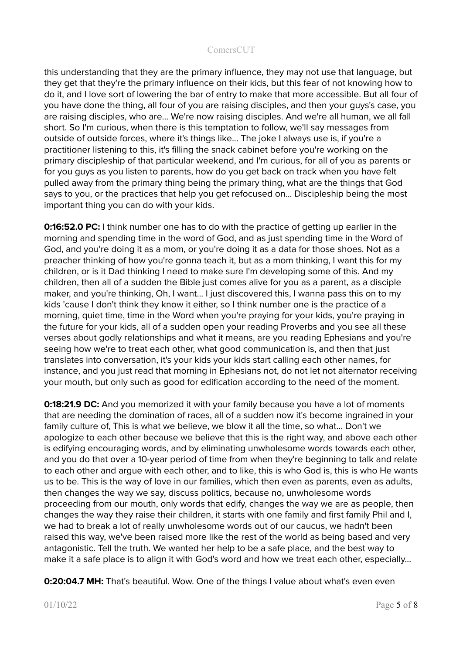this understanding that they are the primary influence, they may not use that language, but they get that they're the primary influence on their kids, but this fear of not knowing how to do it, and I love sort of lowering the bar of entry to make that more accessible. But all four of you have done the thing, all four of you are raising disciples, and then your guys's case, you are raising disciples, who are... We're now raising disciples. And we're all human, we all fall short. So I'm curious, when there is this temptation to follow, we'll say messages from outside of outside forces, where it's things like... The joke I always use is, if you're a practitioner listening to this, it's filling the snack cabinet before you're working on the primary discipleship of that particular weekend, and I'm curious, for all of you as parents or for you guys as you listen to parents, how do you get back on track when you have felt pulled away from the primary thing being the primary thing, what are the things that God says to you, or the practices that help you get refocused on… Discipleship being the most important thing you can do with your kids.

**0:16:52.0 PC:** I think number one has to do with the practice of getting up earlier in the morning and spending time in the word of God, and as just spending time in the Word of God, and you're doing it as a mom, or you're doing it as a data for those shoes. Not as a preacher thinking of how you're gonna teach it, but as a mom thinking, I want this for my children, or is it Dad thinking I need to make sure I'm developing some of this. And my children, then all of a sudden the Bible just comes alive for you as a parent, as a disciple maker, and you're thinking, Oh, I want... I just discovered this, I wanna pass this on to my kids 'cause I don't think they know it either, so I think number one is the practice of a morning, quiet time, time in the Word when you're praying for your kids, you're praying in the future for your kids, all of a sudden open your reading Proverbs and you see all these verses about godly relationships and what it means, are you reading Ephesians and you're seeing how we're to treat each other, what good communication is, and then that just translates into conversation, it's your kids your kids start calling each other names, for instance, and you just read that morning in Ephesians not, do not let not alternator receiving your mouth, but only such as good for edification according to the need of the moment.

**0:18:21.9 DC:** And you memorized it with your family because you have a lot of moments that are needing the domination of races, all of a sudden now it's become ingrained in your family culture of, This is what we believe, we blow it all the time, so what... Don't we apologize to each other because we believe that this is the right way, and above each other is edifying encouraging words, and by eliminating unwholesome words towards each other, and you do that over a 10-year period of time from when they're beginning to talk and relate to each other and argue with each other, and to like, this is who God is, this is who He wants us to be. This is the way of love in our families, which then even as parents, even as adults, then changes the way we say, discuss politics, because no, unwholesome words proceeding from our mouth, only words that edify, changes the way we are as people, then changes the way they raise their children, it starts with one family and first family Phil and I, we had to break a lot of really unwholesome words out of our caucus, we hadn't been raised this way, we've been raised more like the rest of the world as being based and very antagonistic. Tell the truth. We wanted her help to be a safe place, and the best way to make it a safe place is to align it with God's word and how we treat each other, especially...

**0:20:04.7 MH:** That's beautiful. Wow. One of the things I value about what's even even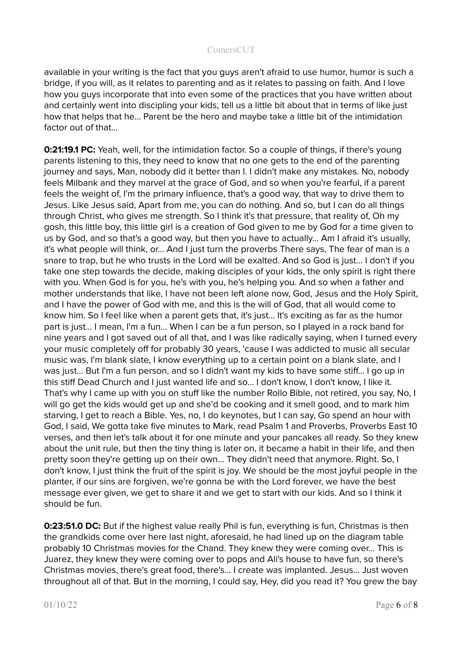available in your writing is the fact that you guys aren't afraid to use humor, humor is such a bridge, if you will, as it relates to parenting and as it relates to passing on faith. And I love how you guys incorporate that into even some of the practices that you have written about and certainly went into discipling your kids, tell us a little bit about that in terms of like just how that helps that he... Parent be the hero and maybe take a little bit of the intimidation factor out of that...

**0:21:19.1 PC:** Yeah, well, for the intimidation factor. So a couple of things, if there's young parents listening to this, they need to know that no one gets to the end of the parenting journey and says, Man, nobody did it better than I. I didn't make any mistakes. No, nobody feels Milbank and they marvel at the grace of God, and so when you're fearful, if a parent feels the weight of, I'm the primary influence, that's a good way, that way to drive them to Jesus. Like Jesus said, Apart from me, you can do nothing. And so, but I can do all things through Christ, who gives me strength. So I think it's that pressure, that reality of, Oh my gosh, this little boy, this little girl is a creation of God given to me by God for a time given to us by God, and so that's a good way, but then you have to actually... Am I afraid it's usually, it's what people will think, or... And I just turn the proverbs There says, The fear of man is a snare to trap, but he who trusts in the Lord will be exalted. And so God is just... I don't if you take one step towards the decide, making disciples of your kids, the only spirit is right there with you. When God is for you, he's with you, he's helping you. And so when a father and mother understands that like, I have not been left alone now, God, Jesus and the Holy Spirit, and I have the power of God with me, and this is the will of God, that all would come to know him. So I feel like when a parent gets that, it's just... It's exciting as far as the humor part is just… I mean, I'm a fun... When I can be a fun person, so I played in a rock band for nine years and I got saved out of all that, and I was like radically saying, when I turned every your music completely off for probably 30 years, 'cause I was addicted to music all secular music was, I'm blank slate, I know everything up to a certain point on a blank slate, and I was just... But I'm a fun person, and so I didn't want my kids to have some stiff... I go up in this stiff Dead Church and I just wanted life and so... I don't know, I don't know, I like it. That's why I came up with you on stuff like the number Rollo Bible, not retired, you say, No, I will go get the kids would get up and she'd be cooking and it smell good, and to mark him starving, I get to reach a Bible. Yes, no, I do keynotes, but I can say, Go spend an hour with God, I said, We gotta take five minutes to Mark, read Psalm 1 and Proverbs, Proverbs East 10 verses, and then let's talk about it for one minute and your pancakes all ready. So they knew about the unit rule, but then the tiny thing is later on, it became a habit in their life, and then pretty soon they're getting up on their own... They didn't need that anymore. Right. So, I don't know, I just think the fruit of the spirit is joy. We should be the most joyful people in the planter, if our sins are forgiven, we're gonna be with the Lord forever, we have the best message ever given, we get to share it and we get to start with our kids. And so I think it should be fun.

**0:23:51.0 DC:** But if the highest value really Phil is fun, everything is fun, Christmas is then the grandkids come over here last night, aforesaid, he had lined up on the diagram table probably 10 Christmas movies for the Chand. They knew they were coming over... This is Juarez, they knew they were coming over to pops and Ali's house to have fun, so there's Christmas movies, there's great food, there's... I create was implanted. Jesus... Just woven throughout all of that. But in the morning, I could say, Hey, did you read it? You grew the bay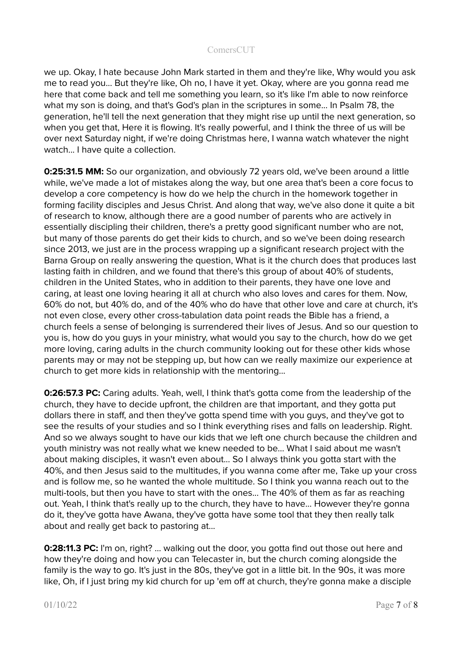we up. Okay, I hate because John Mark started in them and they're like, Why would you ask me to read you... But they're like, Oh no, I have it yet. Okay, where are you gonna read me here that come back and tell me something you learn, so it's like I'm able to now reinforce what my son is doing, and that's God's plan in the scriptures in some... In Psalm 78, the generation, he'll tell the next generation that they might rise up until the next generation, so when you get that, Here it is flowing. It's really powerful, and I think the three of us will be over next Saturday night, if we're doing Christmas here, I wanna watch whatever the night watch... I have quite a collection.

**0:25:31.5 MM:** So our organization, and obviously 72 years old, we've been around a little while, we've made a lot of mistakes along the way, but one area that's been a core focus to develop a core competency is how do we help the church in the homework together in forming facility disciples and Jesus Christ. And along that way, we've also done it quite a bit of research to know, although there are a good number of parents who are actively in essentially discipling their children, there's a pretty good significant number who are not, but many of those parents do get their kids to church, and so we've been doing research since 2013, we just are in the process wrapping up a significant research project with the Barna Group on really answering the question, What is it the church does that produces last lasting faith in children, and we found that there's this group of about 40% of students, children in the United States, who in addition to their parents, they have one love and caring, at least one loving hearing it all at church who also loves and cares for them. Now, 60% do not, but 40% do, and of the 40% who do have that other love and care at church, it's not even close, every other cross-tabulation data point reads the Bible has a friend, a church feels a sense of belonging is surrendered their lives of Jesus. And so our question to you is, how do you guys in your ministry, what would you say to the church, how do we get more loving, caring adults in the church community looking out for these other kids whose parents may or may not be stepping up, but how can we really maximize our experience at church to get more kids in relationship with the mentoring...

**0:26:57.3 PC:** Caring adults. Yeah, well, I think that's gotta come from the leadership of the church, they have to decide upfront, the children are that important, and they gotta put dollars there in staff, and then they've gotta spend time with you guys, and they've got to see the results of your studies and so I think everything rises and falls on leadership. Right. And so we always sought to have our kids that we left one church because the children and youth ministry was not really what we knew needed to be... What I said about me wasn't about making disciples, it wasn't even about... So I always think you gotta start with the 40%, and then Jesus said to the multitudes, if you wanna come after me, Take up your cross and is follow me, so he wanted the whole multitude. So I think you wanna reach out to the multi-tools, but then you have to start with the ones... The 40% of them as far as reaching out. Yeah, I think that's really up to the church, they have to have... However they're gonna do it, they've gotta have Awana, they've gotta have some tool that they then really talk about and really get back to pastoring at...

**0:28:11.3 PC:** I'm on, right? … walking out the door, you gotta find out those out here and how they're doing and how you can Telecaster in, but the church coming alongside the family is the way to go. It's just in the 80s, they've got in a little bit. In the 90s, it was more like, Oh, if I just bring my kid church for up 'em off at church, they're gonna make a disciple